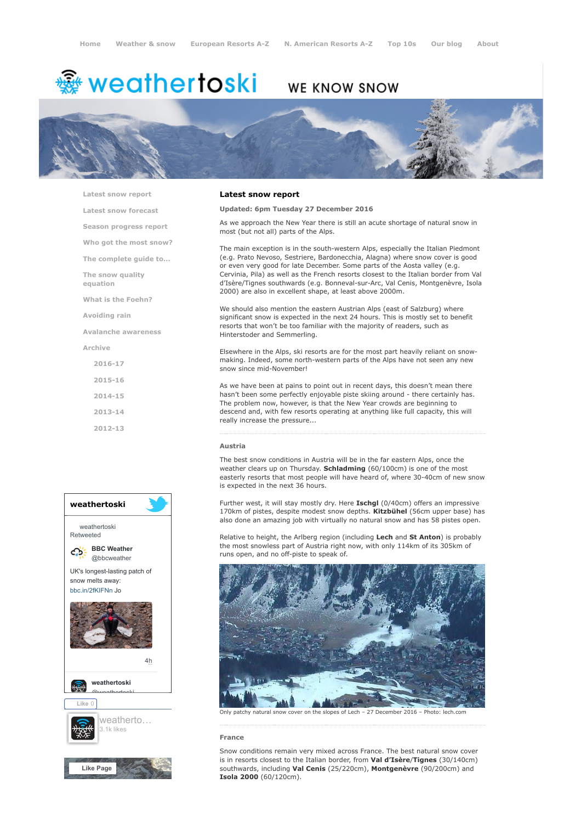# <del>鑾</del> weathertoski

# WE KNOW SNOW



[Latest snow report](https://www.weathertoski.co.uk/weather-snow/latest-snow-report/)

[Latest snow forecast](https://www.weathertoski.co.uk/weather-snow/latest-snow-forecast/)

[Season progress report](https://www.weathertoski.co.uk/weather-snow/season-progress-report/)

[Who got the most snow?](https://www.weathertoski.co.uk/weather-snow/who-got-the-most-snow/)

[The complete guide to...](https://www.weathertoski.co.uk/weather-snow/the-complete-guide-to/)

[The snow quality](https://www.weathertoski.co.uk/weather-snow/the-snow-quality-equation/)

[What is the Foehn?](https://www.weathertoski.co.uk/weather-snow/what-is-the-foehn/)

[Avoiding rain](https://www.weathertoski.co.uk/weather-snow/avoiding-rain/)

equation

[Avalanche awareness](https://www.weathertoski.co.uk/weather-snow/avalanche-awareness/)

[Archive](https://www.weathertoski.co.uk/weather-snow/archive/)

- [2016-17](https://www.weathertoski.co.uk/weather-snow/archive/2016-17/) [2015-16](https://www.weathertoski.co.uk/weather-snow/archive/2015-16/)
- [2014-15](https://www.weathertoski.co.uk/weather-snow/archive/2014-15/)
- [2013-14](https://www.weathertoski.co.uk/weather-snow/archive/2013-14/)
- [2012-13](https://www.weathertoski.co.uk/weather-snow/archive/2012-13/)



### Latest snow report

# Updated: 6pm Tuesday 27 December 2016

As we approach the New Year there is still an acute shortage of natural snow in most (but not all) parts of the Alps.

The main exception is in the south-western Alps, especially the Italian Piedmont (e.g. Prato Nevoso, Sestriere, Bardonecchia, Alagna) where snow cover is good or even very good for late December. Some parts of the Aosta valley (e.g. Cervinia, Pila) as well as the French resorts closest to the Italian border from Val d'Isère/Tignes southwards (e.g. Bonneval-sur-Arc, Val Cenis, Montgenèvre, Isola 2000) are also in excellent shape, at least above 2000m.

We should also mention the eastern Austrian Alps (east of Salzburg) where significant snow is expected in the next 24 hours. This is mostly set to benefit resorts that won't be too familiar with the majority of readers, such as Hinterstoder and Semmerling.

Elsewhere in the Alps, ski resorts are for the most part heavily reliant on snowmaking. Indeed, some north-western parts of the Alps have not seen any new snow since mid-November!

As we have been at pains to point out in recent days, this doesn't mean there hasn't been some perfectly enjoyable piste skiing around - there certainly has. The problem now, however, is that the New Year crowds are beginning to descend and, with few resorts operating at anything like full capacity, this will really increase the pressure...

#### Austria

The best snow conditions in Austria will be in the far eastern Alps, once the weather clears up on Thursday. Schladming (60/100cm) is one of the most easterly resorts that most people will have heard of, where 30-40cm of new snow is expected in the next 36 hours.

Further west, it will stay mostly dry. Here Ischgl (0/40cm) offers an impressive 170km of pistes, despite modest snow depths. Kitzbühel (56cm upper base) has also done an amazing job with virtually no natural snow and has 58 pistes open.

Relative to height, the Arlberg region (including Lech and St Anton) is probably the most snowless part of Austria right now, with only 114km of its 305km of runs open, and no off-piste to speak of.



Only patchy natural snow cover on the slopes of Lech – 27 December 2016 – Photo: lech.com

#### France

Snow conditions remain very mixed across France. The best natural snow cover is in resorts closest to the Italian border, from Val d'Isère/Tignes (30/140cm) southwards, including Val Cenis (25/220cm), Montgenèvre (90/200cm) and Isola 2000 (60/120cm).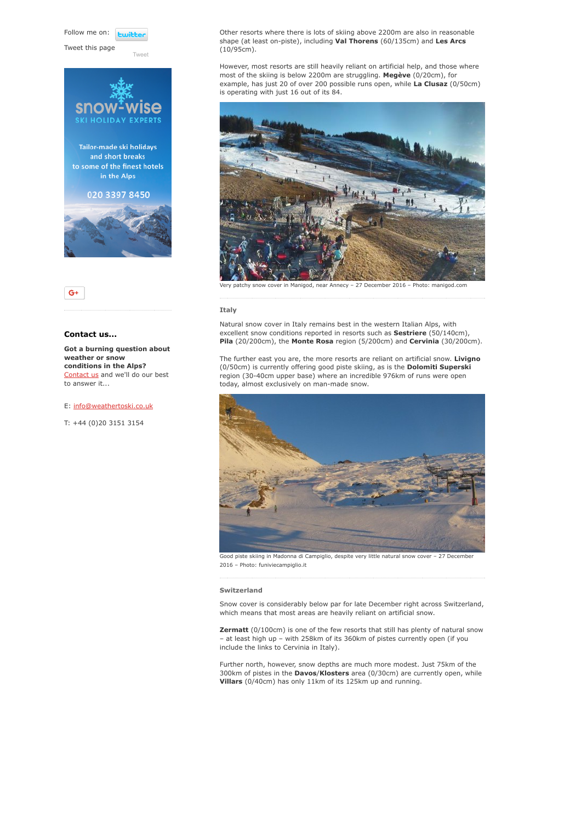Follow me on: **Luitte** 

Tweet this page

[Tweet](https://twitter.com/intent/tweet?original_referer=https%3A%2F%2Fwww.weathertoski.co.uk%2Fweather-snow%2Farchive%2Fsnow-report-27-12-2016%2F&ref_src=twsrc%5Etfw&text=Weather%20to%20ski%20-%20Snow%20report%20-%2027%20December%202016&tw_p=tweetbutton&url=https%3A%2F%2Fwww.weathertoski.co.uk%2Fweather-snow%2Farchive%2Fsnow-report-27-12-2016%2F)





# Contact us...

Got a burning question about weather or snow conditions in the Alps? [Contact us](https://www.weathertoski.co.uk/about-1/contact-us/) and we'll do our best to answer it...

E: [info@weathertoski.co.uk](mailto:fraser@weathertoski.co.uk)

T: +44 (0)20 3151 3154

Other resorts where there is lots of skiing above 2200m are also in reasonable shape (at least on-piste), including Val Thorens (60/135cm) and Les Arcs (10/95cm).

However, most resorts are still heavily reliant on artificial help, and those where most of the skiing is below 2200m are struggling. Megève (0/20cm), for example, has just 20 of over 200 possible runs open, while La Clusaz (0/50cm) is operating with just 16 out of its 84.



Very patchy snow cover in Manigod, near Annecy – 27 December 2016 – Photo: manigod.com

#### Italy

Natural snow cover in Italy remains best in the western Italian Alps, with excellent snow conditions reported in resorts such as **Sestriere** (50/140cm), Pila (20/200cm), the Monte Rosa region (5/200cm) and Cervinia (30/200cm).

The further east you are, the more resorts are reliant on artificial snow. Livigno (0/50cm) is currently offering good piste skiing, as is the Dolomiti Superski region (30-40cm upper base) where an incredible 976km of runs were open today, almost exclusively on man-made snow.



Good piste skiing in Madonna di Campiglio, despite very little natural snow cover - 27 December 2016 – Photo: funiviecampiglio.it

#### Switzerland

Snow cover is considerably below par for late December right across Switzerland, which means that most areas are heavily reliant on artificial snow.

**Zermatt** (0/100cm) is one of the few resorts that still has plenty of natural snow – at least high up – with 258km of its 360km of pistes currently open (if you include the links to Cervinia in Italy).

Further north, however, snow depths are much more modest. Just 75km of the 300km of pistes in the Davos/Klosters area (0/30cm) are currently open, while Villars (0/40cm) has only 11km of its 125km up and running.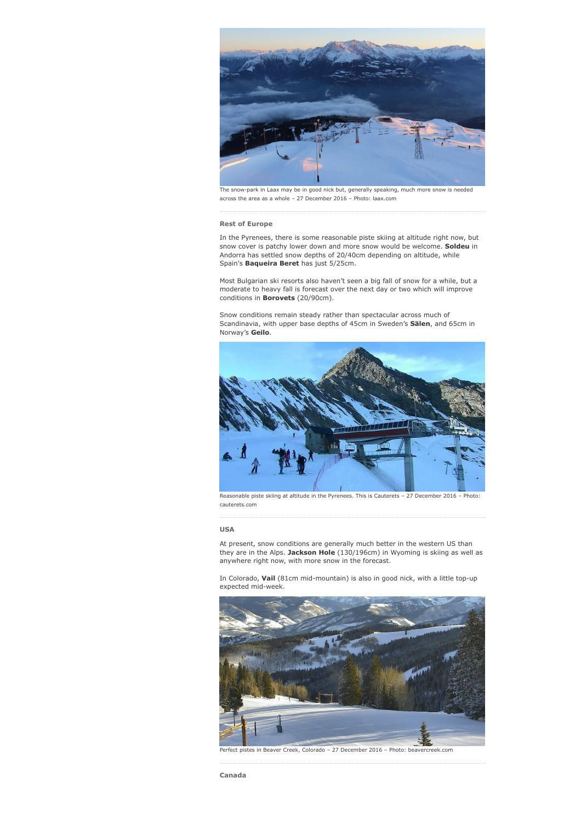

The snow-park in Laax may be in good nick but, generally speaking, much more snow is needed across the area as a whole – 27 December 2016 – Photo: laax.com

#### Rest of Europe

In the Pyrenees, there is some reasonable piste skiing at altitude right now, but snow cover is patchy lower down and more snow would be welcome. Soldeu in Andorra has settled snow depths of 20/40cm depending on altitude, while Spain's Baqueira Beret has just 5/25cm.

Most Bulgarian ski resorts also haven't seen a big fall of snow for a while, but a moderate to heavy fall is forecast over the next day or two which will improve conditions in Borovets (20/90cm).

Snow conditions remain steady rather than spectacular across much of Scandinavia, with upper base depths of 45cm in Sweden's Sälen, and 65cm in Norway's Geilo.



Reasonable piste skiing at altitude in the Pyrenees. This is Cauterets – 27 December 2016 – Photo: cauterets.com

# USA

At present, snow conditions are generally much better in the western US than they are in the Alps. Jackson Hole (130/196cm) in Wyoming is skiing as well as anywhere right now, with more snow in the forecast.

In Colorado, Vail (81cm mid-mountain) is also in good nick, with a little top-up expected mid-week.